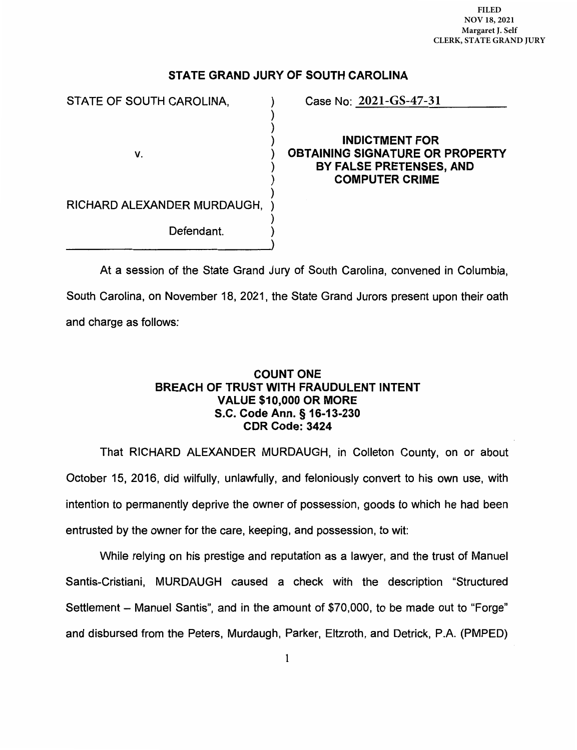**FILED**  FILED **NOV 18, 2021**  NOV 18, 2021 **Margaret J. Self**  Margaret J. Self **CLERK, STATE GRAND JURY** CLERK, STATE GRAND JURY

## STATE GRAND JURY OF SOUTH CAROLINA

)

)

)

.)

STATE OF SOUTH CAROLINA.

v.

**2021-GS-47-31**

) INDICTMENT FOR ) OBTAINING SIGNATURE OR PROPERTY ) BY FALSE PRETENSES, AND COMPUTER CRIME ) )

RICHARD ALEXANDER MURDAUGH, )

Defendant.

At a session of the State Grand Jury of South Carolina, convened in Columbia, South Carolina, on November 18, 2021, the State Grand Jurors present upon their oath and charge as follows:

## COUNT ONE BREACH OF TRUST WITH FRAUDULENT INTENT VALUE \$10,000 OR MORE S.C. Code Ann. § 16-13-230 CDR Code: 3424

That RICHARD ALEXANDER MURDAUGH, in Colleton County, on or about October 15, 2016, did wilfully, unlawfully, and feloniously convert to his own use, with intention to permanently deprive the owner of possession, goods to which he had been entrusted by the owner for the care, keeping, and possession, to wit:

While relying on his prestige and reputation as a lawyer, and the trust of Manuel Santis-Cristiani, MURDAUGH caused a check with the description "Structured Settlement - Manuel Santis", and in the amount of \$70,000, to be made out to "Forge" and disbursed from the Peters, Murdaugh, Parker, Eltzroth, and Detrick, P.A. (PMPED)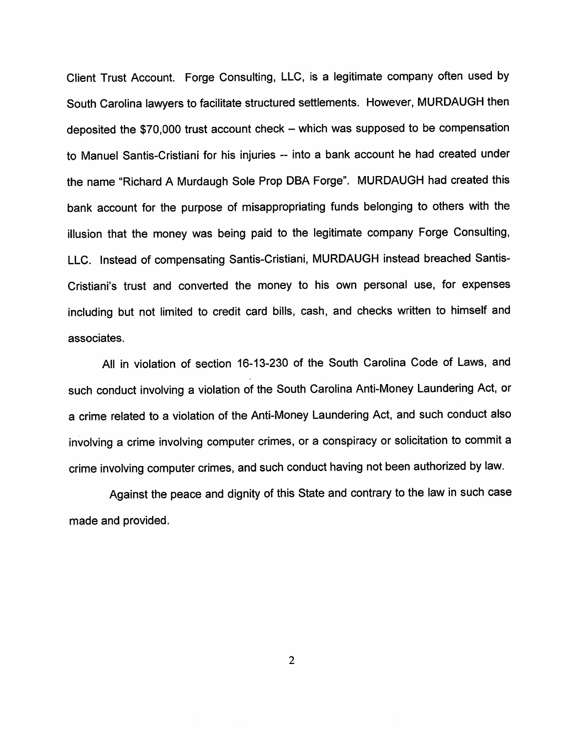Client Trust Account. Forge Consulting, LLC, is <sup>a</sup> legitimate company often used by South Carolina lawyers to facilitate structured settlements. However, MURDAUGH then deposited the  $$70,000$  trust account check  $-$  which was supposed to be compensation to Manuel Santis-Cristiani for his injuries -- into a bank account he had created under the name "Richard <sup>A</sup> Murdaugh Sole Prop DBA Forge". MURDAUGH had created this bank account for the purpose of misappropriating funds belonging to others with the illusion that the money was being paid to the legitimate company Forge Consulting, LLC. Instead of compensating Santis-Cristiani, MURDAUGH instead breached Santis-Cristiani's trust and converted the money to his own personal use, for expenses including but not limited to credit card bills, cash, and checks written to himself and associates.

All in violation of section 16-13-230 of the South Carolina Code of Laws, and such conduct involving <sup>a</sup> violation of the South Carolina Anti-Money Laundering Act, or <sup>a</sup> crime related to <sup>a</sup> violation of the Anti-Money Laundering Act, and such conduct also involving <sup>a</sup> crime involving computer crimes, or <sup>a</sup> conspiracy or solicitation to commit <sup>a</sup> crime involving computer crimes, and such conduct having not been authorized by law.

Against the peace and dignity of this State and contrary to the law in such case made and provided.

2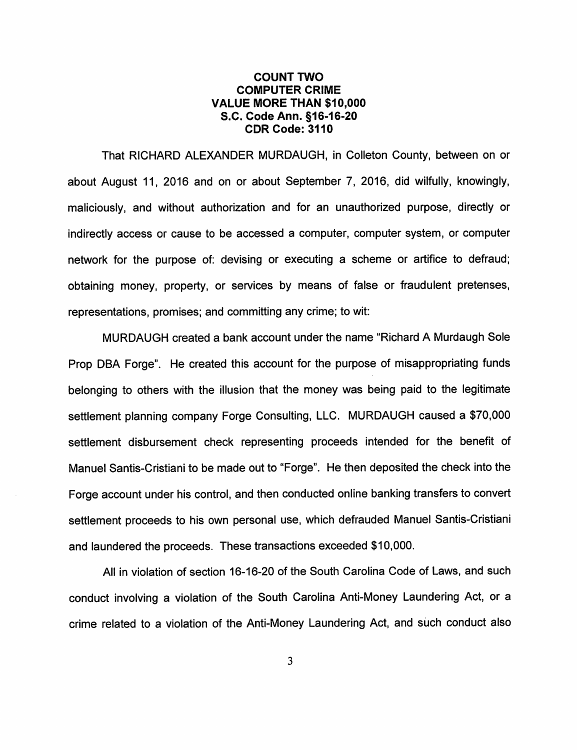## COUNT TWO COMPUTER CRIME VALUE MORE THAN \$10,000 S.C. Code Ann. §16-16-20 CDR Code: 3110

That RICHARD ALEXANDER MURDAUGH, In Colleton County, between on or about August 11, <sup>2016</sup> and on or about September 7, 2016, did wilfully, knowingly, maliciously, and without authorization and for an unauthorized purpose, directly or indirectly access or cause to be accessed <sup>a</sup> computer, computer system, or computer network for the purpose of: devising or executing <sup>a</sup> scheme or artifice to defraud; obtaining money, property, or services by means of false or fraudulent pretenses, representations, promises; and committing any crime; to wit:

MURDAUGH created <sup>a</sup> bank account under the name "Richard A Murdaugh Sole Prop DBA Forge". He created this account for the purpose of misappropriating funds belonging to others with the illusion that the money was being paid to the legitimate settlement planning company Forge Consulting, LLC. MURDAUGH caused <sup>a</sup> \$70,000 settlement disbursement check representing proceeds intended for the benefit of Manuel Santis-Cristiani to be made out to "Forge". He then deposited the check into the Forge account under his control, and then conducted online banking transfers to convert settlement proceeds to his own personal use, which defrauded Manuel Santis-Cristiani and laundered the proceeds. These transactions exceeded \$10,000.

All in violation of section 16-16-20 of the South Carolina Code of Laws, and such conduct involving <sup>a</sup> violation of the South Carolina Anti-Money Laundering Act, or <sup>a</sup> crime related to <sup>a</sup> violation of the Anti-Money Laundering Act, and such conduct also

3